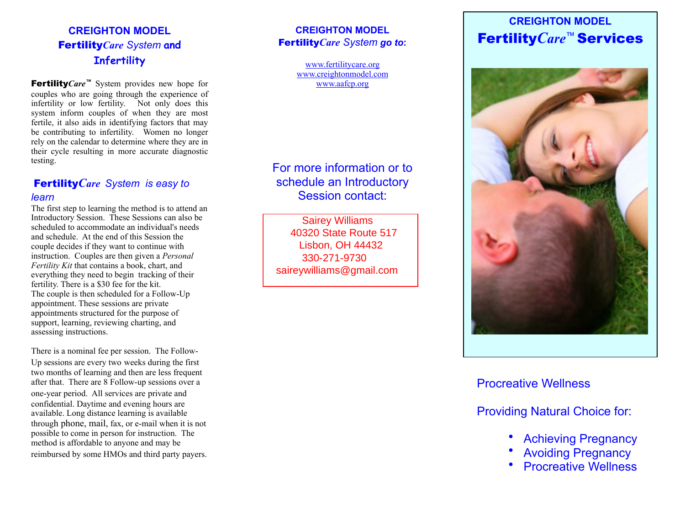## **CREIGHTON MODEL** Fertility*Care System* **and Infertility**

Fertility*Care ™* System provides new hope for couples who are going through the experience of infertility or low fertility. Not only does this system inform couples of when they are most fertile, it also aids in identifying factors that may be contributing to infertility. Women no longer rely on the calendar to determine where they are in their cycle resulting in more accurate diagnostic testing.

#### Fertility *Care System is easy to learn*

The first step to learning the method is to attend an Introductory Session. These Sessions can also be scheduled to accommodate an individual's needs and schedule. At the end of this Session the couple decides if they want to continue with instruction. Couples are then given a *Personal Fertility Kit* that contains a book, chart, and everything they need to begin tracking of their fertility. There is a \$30 fee for the kit. The couple is then scheduled for a Follow-Up appointment. These sessions are private appointments structured for the purpose of support, learning, reviewing charting, and assessing instructions.

There is a nominal fee per session. The Follow-Up sessions are every two weeks during the first two months of learning and then are less frequent after that. There are 8 Follow-up sessions over a one-year period. All services are private and confidential. Daytime and evening hours are available. Long distance learning is available through phone, mail, fax, or e-mail when it is not possible to come in person for instruction. The method is affordable to anyone and may be reimbursed by some HMOs and third party payers.

#### **CREIGHTON MODEL** Fertility*Care System go to* **:**

[www.fertilitycare.org](http://www.fertilitycare.org) [www.creightonmodel.com](http://www.creightonmodel.com) [www.aafcp.org](http://www.aafcp.org)

# For more information or to schedule an Introductory Session contact:

**40320 State Route 517 2419 Ohio Avenue** Lisbon, OH 44432 **Youngstown, Ohio 44504** 330-271-9730 **330-271-9730** saireywilliams@gmail.comSairey Williams

# **CREIGHTON MODEL** Fertility *Care* ™ Services



### Procreative Wellness

Providing Natural Choice for:

- Achieving Pregnancy
- Avoiding Pregnancy
- **Procreative Wellness**